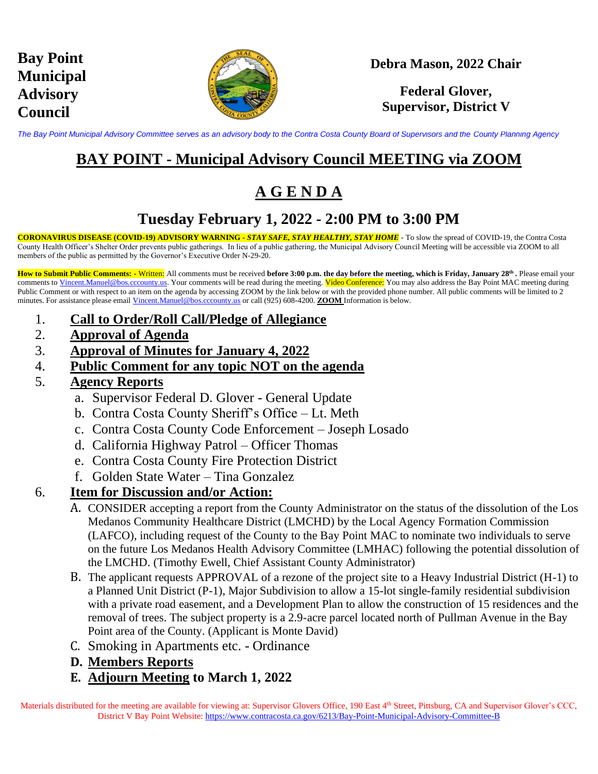

### **Debra Mason, 2022 Chair**

### **Federal Glover, Supervisor, District V**

*The Bay Point Municipal Advisory Committee serves as an advisory body to the Contra Costa County Board of Supervisors and the County Planning Agency*

## **BAY POINT - Municipal Advisory Council MEETING via ZOOM**

# **A G E N D A**

### **Tuesday February 1, 2022 - 2:00 PM to 3:00 PM**

**CORONAVIRUS DISEASE (COVID-19) ADVISORY WARNING -** *STAY SAFE, STAY HEALTHY, STAY HOME* - To slow the spread of COVID-19, the Contra Costa County Health Officer's Shelter Order prevents public gatherings. In lieu of a public gathering, the Municipal Advisory Council Meeting will be accessible via ZOOM to all members of the public as permitted by the Governor's Executive Order N-29-20.

**How to Submit Public Comments: -** Written: All comments must be received **before 3:00 p.m. the day before the meeting, which is Friday, January 28th .** Please email your comments to [Vincent.Manuel@bos.cccounty.us.](mailto:Vincent.Manuel@bos.cccounty.us) Your comments will be read during the meeting. Video Conference: You may also address the Bay Point MAC meeting during Public Comment or with respect to an item on the agenda by accessing ZOOM by the link below or with the provided phone number. All public comments will be limited to 2 minutes. For assistance please email [Vincent.Manuel@bos.cccounty.us](mailto:Vincent.Manuel@bos.cccounty.us) or call (925) 608-4200. **ZOOM** Information is below.

- 1. **Call to Order/Roll Call/Pledge of Allegiance**
- 2. **Approval of Agenda**
- 3. **Approval of Minutes for January 4, 2022**
- 4. **Public Comment for any topic NOT on the agenda**
- 5. **Agency Reports**
	- a. Supervisor Federal D. Glover General Update
	- b. Contra Costa County Sheriff's Office Lt. Meth
	- c. Contra Costa County Code Enforcement Joseph Losado
	- d. California Highway Patrol Officer Thomas
	- e. Contra Costa County Fire Protection District
	- f. Golden State Water Tina Gonzalez

#### 6. **Item for Discussion and/or Action:**

- A. CONSIDER accepting a report from the County Administrator on the status of the dissolution of the Los Medanos Community Healthcare District (LMCHD) by the Local Agency Formation Commission (LAFCO), including request of the County to the Bay Point MAC to nominate two individuals to serve on the future Los Medanos Health Advisory Committee (LMHAC) following the potential dissolution of the LMCHD. (Timothy Ewell, Chief Assistant County Administrator)
- B. The applicant requests APPROVAL of a rezone of the project site to a Heavy Industrial District (H-1) to a Planned Unit District (P-1), Major Subdivision to allow a 15-lot single-family residential subdivision with a private road easement, and a Development Plan to allow the construction of 15 residences and the removal of trees. The subject property is a 2.9-acre parcel located north of Pullman Avenue in the Bay Point area of the County. (Applicant is Monte David)
- C. Smoking in Apartments etc. Ordinance
- **D. Members Reports**
- **E. Adjourn Meeting to March 1, 2022**

Materials distributed for the meeting are available for viewing at: Supervisor Glovers Office, 190 East  $4<sup>th</sup>$  Street, Pittsburg, CA and Supervisor Glover's CCC, District V Bay Point Website: <https://www.contracosta.ca.gov/6213/Bay-Point-Municipal-Advisory-Committee-B>